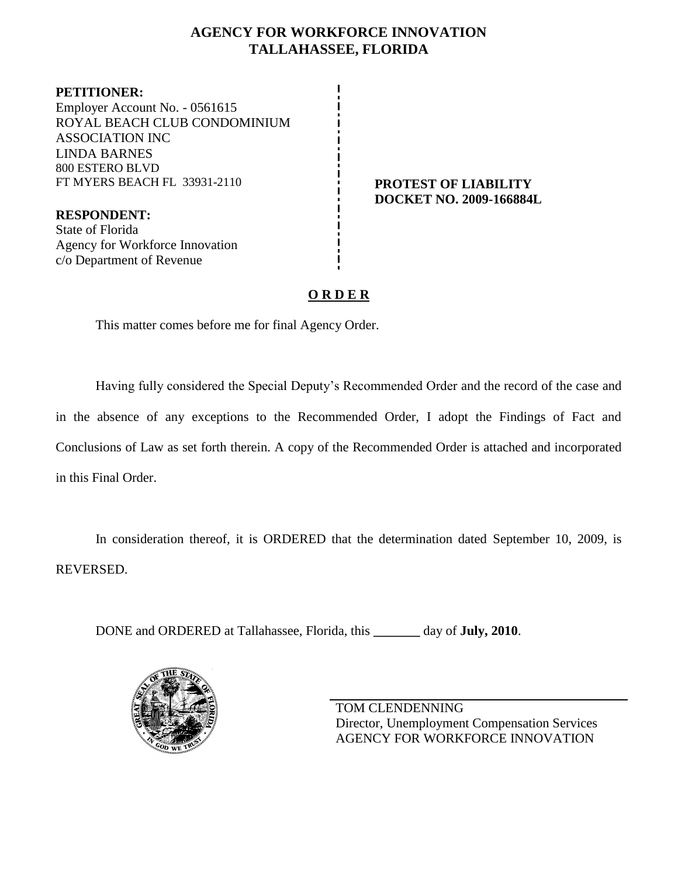## **AGENCY FOR WORKFORCE INNOVATION TALLAHASSEE, FLORIDA**

**PETITIONER:** Employer Account No. - 0561615 ROYAL BEACH CLUB CONDOMINIUM ASSOCIATION INC LINDA BARNES 800 ESTERO BLVD FT MYERS BEACH FL 33931-2110 **PROTEST OF LIABILITY**

**RESPONDENT:** State of Florida Agency for Workforce Innovation c/o Department of Revenue

**DOCKET NO. 2009-166884L**

# **O R D E R**

This matter comes before me for final Agency Order.

Having fully considered the Special Deputy's Recommended Order and the record of the case and in the absence of any exceptions to the Recommended Order, I adopt the Findings of Fact and Conclusions of Law as set forth therein. A copy of the Recommended Order is attached and incorporated in this Final Order.

In consideration thereof, it is ORDERED that the determination dated September 10, 2009, is REVERSED.

DONE and ORDERED at Tallahassee, Florida, this **\_\_\_\_\_\_\_** day of **July, 2010**.



TOM CLENDENNING Director, Unemployment Compensation Services AGENCY FOR WORKFORCE INNOVATION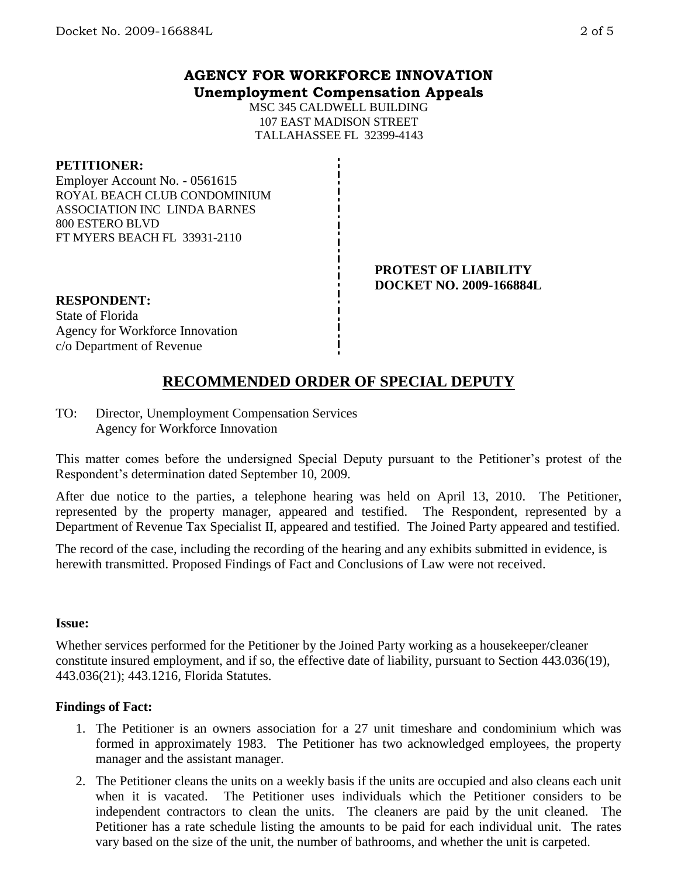MSC 345 CALDWELL BUILDING 107 EAST MADISON STREET TALLAHASSEE FL 32399-4143

### **PETITIONER:**

Employer Account No. - 0561615 ROYAL BEACH CLUB CONDOMINIUM ASSOCIATION INC LINDA BARNES 800 ESTERO BLVD FT MYERS BEACH FL 33931-2110

#### **PROTEST OF LIABILITY DOCKET NO. 2009-166884L**

**RESPONDENT:** State of Florida Agency for Workforce Innovation c/o Department of Revenue

# **RECOMMENDED ORDER OF SPECIAL DEPUTY**

TO: Director, Unemployment Compensation Services Agency for Workforce Innovation

This matter comes before the undersigned Special Deputy pursuant to the Petitioner's protest of the Respondent's determination dated September 10, 2009.

After due notice to the parties, a telephone hearing was held on April 13, 2010. The Petitioner, represented by the property manager, appeared and testified. The Respondent, represented by a Department of Revenue Tax Specialist II, appeared and testified. The Joined Party appeared and testified.

The record of the case, including the recording of the hearing and any exhibits submitted in evidence, is herewith transmitted. Proposed Findings of Fact and Conclusions of Law were not received.

### **Issue:**

Whether services performed for the Petitioner by the Joined Party working as a housekeeper/cleaner constitute insured employment, and if so, the effective date of liability, pursuant to Section 443.036(19), 443.036(21); 443.1216, Florida Statutes.

## **Findings of Fact:**

- 1. The Petitioner is an owners association for a 27 unit timeshare and condominium which was formed in approximately 1983. The Petitioner has two acknowledged employees, the property manager and the assistant manager.
- 2. The Petitioner cleans the units on a weekly basis if the units are occupied and also cleans each unit when it is vacated. The Petitioner uses individuals which the Petitioner considers to be independent contractors to clean the units. The cleaners are paid by the unit cleaned. The Petitioner has a rate schedule listing the amounts to be paid for each individual unit. The rates vary based on the size of the unit, the number of bathrooms, and whether the unit is carpeted.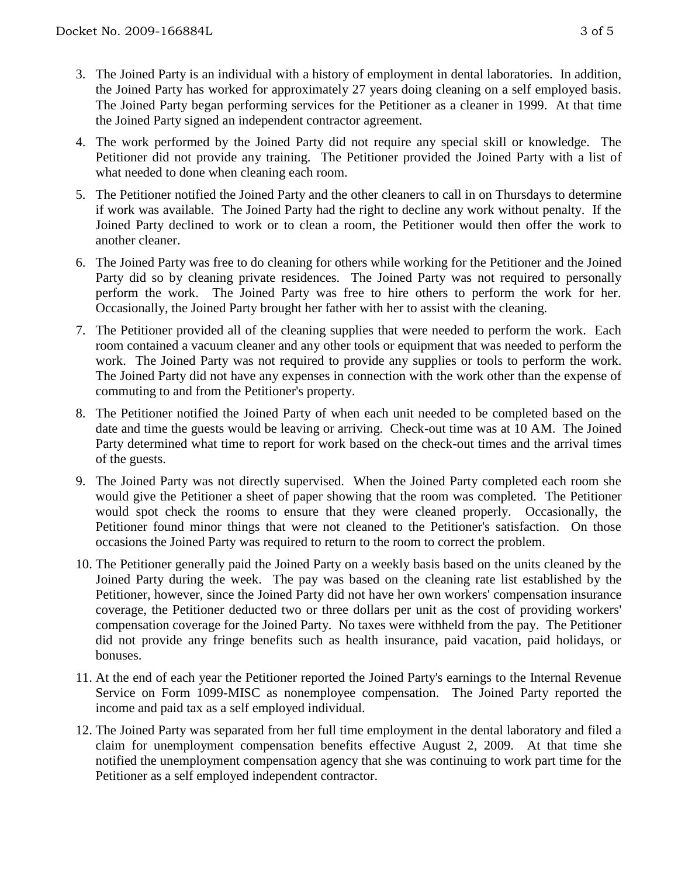- 3. The Joined Party is an individual with a history of employment in dental laboratories. In addition, the Joined Party has worked for approximately 27 years doing cleaning on a self employed basis. The Joined Party began performing services for the Petitioner as a cleaner in 1999. At that time the Joined Party signed an independent contractor agreement.
- 4. The work performed by the Joined Party did not require any special skill or knowledge. The Petitioner did not provide any training. The Petitioner provided the Joined Party with a list of what needed to done when cleaning each room.
- 5. The Petitioner notified the Joined Party and the other cleaners to call in on Thursdays to determine if work was available. The Joined Party had the right to decline any work without penalty. If the Joined Party declined to work or to clean a room, the Petitioner would then offer the work to another cleaner.
- 6. The Joined Party was free to do cleaning for others while working for the Petitioner and the Joined Party did so by cleaning private residences. The Joined Party was not required to personally perform the work. The Joined Party was free to hire others to perform the work for her. Occasionally, the Joined Party brought her father with her to assist with the cleaning.
- 7. The Petitioner provided all of the cleaning supplies that were needed to perform the work. Each room contained a vacuum cleaner and any other tools or equipment that was needed to perform the work. The Joined Party was not required to provide any supplies or tools to perform the work. The Joined Party did not have any expenses in connection with the work other than the expense of commuting to and from the Petitioner's property.
- 8. The Petitioner notified the Joined Party of when each unit needed to be completed based on the date and time the guests would be leaving or arriving. Check-out time was at 10 AM. The Joined Party determined what time to report for work based on the check-out times and the arrival times of the guests.
- 9. The Joined Party was not directly supervised. When the Joined Party completed each room she would give the Petitioner a sheet of paper showing that the room was completed. The Petitioner would spot check the rooms to ensure that they were cleaned properly. Occasionally, the Petitioner found minor things that were not cleaned to the Petitioner's satisfaction. On those occasions the Joined Party was required to return to the room to correct the problem.
- 10. The Petitioner generally paid the Joined Party on a weekly basis based on the units cleaned by the Joined Party during the week. The pay was based on the cleaning rate list established by the Petitioner, however, since the Joined Party did not have her own workers' compensation insurance coverage, the Petitioner deducted two or three dollars per unit as the cost of providing workers' compensation coverage for the Joined Party. No taxes were withheld from the pay. The Petitioner did not provide any fringe benefits such as health insurance, paid vacation, paid holidays, or bonuses.
- 11. At the end of each year the Petitioner reported the Joined Party's earnings to the Internal Revenue Service on Form 1099-MISC as nonemployee compensation. The Joined Party reported the income and paid tax as a self employed individual.
- 12. The Joined Party was separated from her full time employment in the dental laboratory and filed a claim for unemployment compensation benefits effective August 2, 2009. At that time she notified the unemployment compensation agency that she was continuing to work part time for the Petitioner as a self employed independent contractor.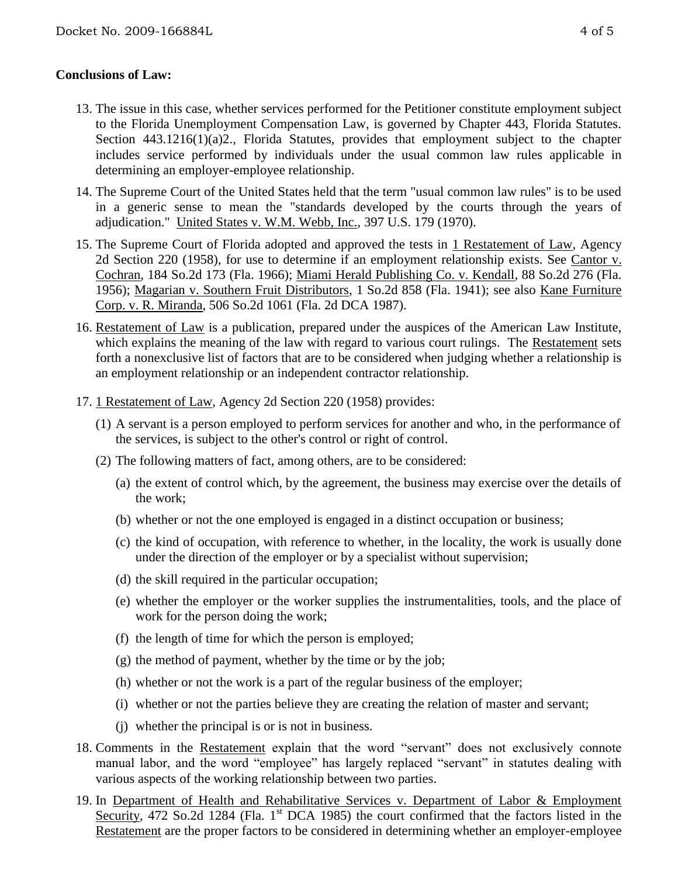## **Conclusions of Law:**

- 13. The issue in this case, whether services performed for the Petitioner constitute employment subject to the Florida Unemployment Compensation Law, is governed by Chapter 443, Florida Statutes. Section 443.1216(1)(a)2., Florida Statutes, provides that employment subject to the chapter includes service performed by individuals under the usual common law rules applicable in determining an employer-employee relationship.
- 14. The Supreme Court of the United States held that the term "usual common law rules" is to be used in a generic sense to mean the "standards developed by the courts through the years of adjudication." United States v. W.M. Webb, Inc., 397 U.S. 179 (1970).
- 15. The Supreme Court of Florida adopted and approved the tests in 1 Restatement of Law, Agency 2d Section 220 (1958), for use to determine if an employment relationship exists. See Cantor v. Cochran, 184 So.2d 173 (Fla. 1966); Miami Herald Publishing Co. v. Kendall, 88 So.2d 276 (Fla. 1956); Magarian v. Southern Fruit Distributors, 1 So.2d 858 (Fla. 1941); see also Kane Furniture Corp. v. R. Miranda, 506 So.2d 1061 (Fla. 2d DCA 1987).
- 16. Restatement of Law is a publication, prepared under the auspices of the American Law Institute, which explains the meaning of the law with regard to various court rulings. The Restatement sets forth a nonexclusive list of factors that are to be considered when judging whether a relationship is an employment relationship or an independent contractor relationship.
- 17. 1 Restatement of Law, Agency 2d Section 220 (1958) provides:
	- (1) A servant is a person employed to perform services for another and who, in the performance of the services, is subject to the other's control or right of control.
	- (2) The following matters of fact, among others, are to be considered:
		- (a) the extent of control which, by the agreement, the business may exercise over the details of the work;
		- (b) whether or not the one employed is engaged in a distinct occupation or business;
		- (c) the kind of occupation, with reference to whether, in the locality, the work is usually done under the direction of the employer or by a specialist without supervision;
		- (d) the skill required in the particular occupation;
		- (e) whether the employer or the worker supplies the instrumentalities, tools, and the place of work for the person doing the work;
		- (f) the length of time for which the person is employed;
		- (g) the method of payment, whether by the time or by the job;
		- (h) whether or not the work is a part of the regular business of the employer;
		- (i) whether or not the parties believe they are creating the relation of master and servant;
		- (j) whether the principal is or is not in business.
- 18. Comments in the **Restatement** explain that the word "servant" does not exclusively connote manual labor, and the word "employee" has largely replaced "servant" in statutes dealing with various aspects of the working relationship between two parties.
- 19. In Department of Health and Rehabilitative Services v. Department of Labor & Employment Security, 472 So.2d 1284 (Fla. 1<sup>st</sup> DCA 1985) the court confirmed that the factors listed in the Restatement are the proper factors to be considered in determining whether an employer-employee